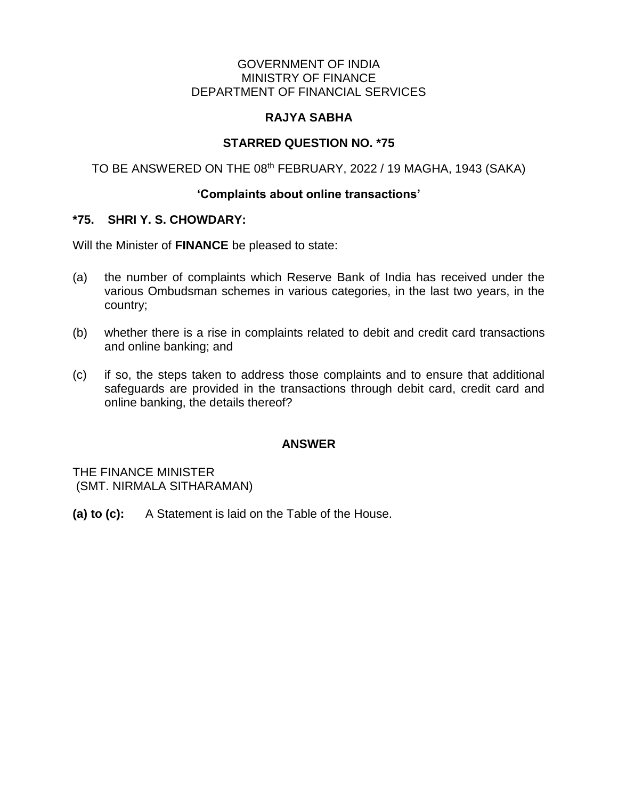#### GOVERNMENT OF INDIA MINISTRY OF FINANCE DEPARTMENT OF FINANCIAL SERVICES

## **RAJYA SABHA**

# **STARRED QUESTION NO. \*75**

TO BE ANSWERED ON THE 08<sup>th</sup> FEBRUARY, 2022 / 19 MAGHA, 1943 (SAKA)

#### **'Complaints about online transactions'**

#### **\*75. SHRI Y. S. CHOWDARY:**

Will the Minister of **FINANCE** be pleased to state:

- (a) the number of complaints which Reserve Bank of India has received under the various Ombudsman schemes in various categories, in the last two years, in the country;
- (b) whether there is a rise in complaints related to debit and credit card transactions and online banking; and
- (c) if so, the steps taken to address those complaints and to ensure that additional safeguards are provided in the transactions through debit card, credit card and online banking, the details thereof?

## **ANSWER**

THE FINANCE MINISTER (SMT. NIRMALA SITHARAMAN)

**(a) to (c):** A Statement is laid on the Table of the House.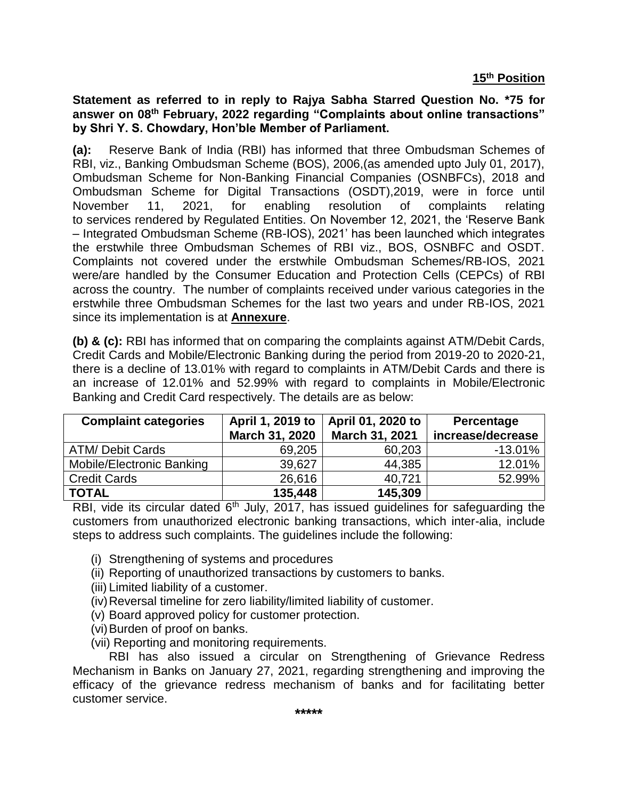**Statement as referred to in reply to Rajya Sabha Starred Question No. \*75 for answer on 08th February, 2022 regarding "Complaints about online transactions" by Shri Y. S. Chowdary, Hon'ble Member of Parliament.**

**(a):** Reserve Bank of India (RBI) has informed that three Ombudsman Schemes of RBI, viz., Banking Ombudsman Scheme (BOS), 2006,(as amended upto July 01, 2017), Ombudsman Scheme for Non-Banking Financial Companies (OSNBFCs), 2018 and Ombudsman Scheme for Digital Transactions (OSDT),2019, were in force until November 11, 2021, for enabling resolution of complaints relating to services rendered by Regulated Entities. On November 12, 2021, the 'Reserve Bank – Integrated Ombudsman Scheme (RB-IOS), 2021' has been launched which integrates the erstwhile three Ombudsman Schemes of RBI viz., BOS, OSNBFC and OSDT. Complaints not covered under the erstwhile Ombudsman Schemes/RB-IOS, 2021 were/are handled by the Consumer Education and Protection Cells (CEPCs) of RBI across the country. The number of complaints received under various categories in the erstwhile three Ombudsman Schemes for the last two years and under RB-IOS, 2021 since its implementation is at **Annexure**.

**(b) & (c):** RBI has informed that on comparing the complaints against ATM/Debit Cards, Credit Cards and Mobile/Electronic Banking during the period from 2019-20 to 2020-21, there is a decline of 13.01% with regard to complaints in ATM/Debit Cards and there is an increase of 12.01% and 52.99% with regard to complaints in Mobile/Electronic Banking and Credit Card respectively. The details are as below:

| <b>Complaint categories</b> | April 1, 2019 to<br>March 31, 2020 | April 01, 2020 to<br>March 31, 2021 | Percentage<br>increase/decrease |
|-----------------------------|------------------------------------|-------------------------------------|---------------------------------|
| <b>ATM/ Debit Cards</b>     | 69,205                             | 60,203                              | $-13.01%$                       |
| Mobile/Electronic Banking   | 39,627                             | 44,385                              | 12.01%                          |
| <b>Credit Cards</b>         | 26,616                             | 40.721                              | 52.99%                          |
| <b>TOTAL</b>                | 135,448                            | 145,309                             |                                 |

RBI, vide its circular dated  $6<sup>th</sup>$  July, 2017, has issued guidelines for safeguarding the customers from unauthorized electronic banking transactions, which inter-alia, include steps to address such complaints. The guidelines include the following:

- (i) Strengthening of systems and procedures
- (ii) Reporting of unauthorized transactions by customers to banks.
- (iii) Limited liability of a customer.
- (iv)Reversal timeline for zero liability/limited liability of customer.
- (v) Board approved policy for customer protection.
- (vi)Burden of proof on banks.
- (vii) Reporting and monitoring requirements.

RBI has also issued a circular on Strengthening of Grievance Redress Mechanism in Banks on January 27, 2021, regarding strengthening and improving the efficacy of the grievance redress mechanism of banks and for facilitating better customer service.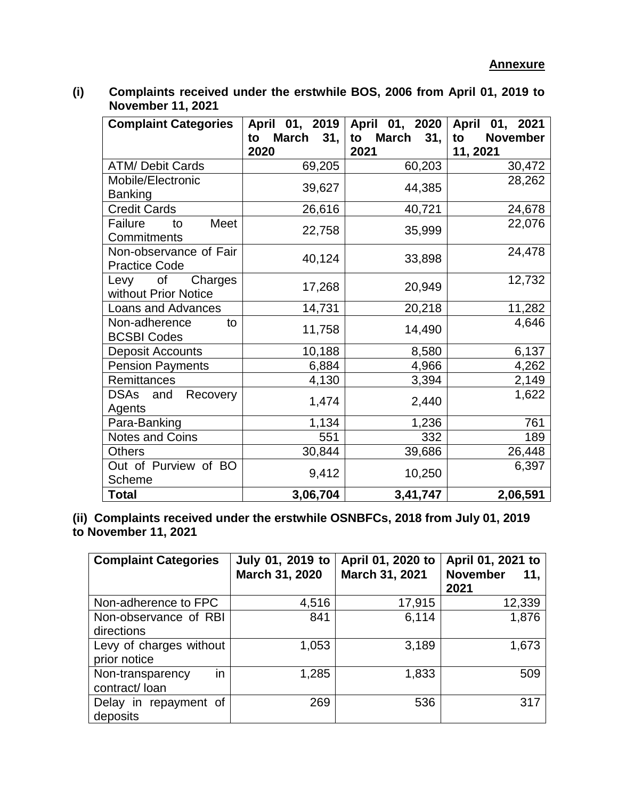**(i) Complaints received under the erstwhile BOS, 2006 from April 01, 2019 to November 11, 2021**

| <b>Complaint Categories</b>                    | April 01, 2019<br>to March 31,<br>2020 | April 01, 2020<br>March 31,<br>to<br>2021 | April 01, 2021<br><b>November</b><br>to<br>11, 2021 |
|------------------------------------------------|----------------------------------------|-------------------------------------------|-----------------------------------------------------|
| <b>ATM/ Debit Cards</b>                        | 69,205                                 | 60,203                                    | 30,472                                              |
| Mobile/Electronic<br><b>Banking</b>            | 39,627                                 | 44,385                                    | 28,262                                              |
| <b>Credit Cards</b>                            | 26,616                                 | 40,721                                    | 24,678                                              |
| Meet<br>Failure<br>to<br>Commitments           | 22,758                                 | 35,999                                    | 22,076                                              |
| Non-observance of Fair<br><b>Practice Code</b> | 40,124                                 | 33,898                                    | 24,478                                              |
| Levy of Charges<br>without Prior Notice        | 17,268                                 | 20,949                                    | 12,732                                              |
| Loans and Advances                             | 14,731                                 | 20,218                                    | 11,282                                              |
| Non-adherence<br>to<br><b>BCSBI Codes</b>      | 11,758                                 | 14,490                                    | 4,646                                               |
| <b>Deposit Accounts</b>                        | 10,188                                 | 8,580                                     | 6,137                                               |
| <b>Pension Payments</b>                        | 6,884                                  | 4,966                                     | 4,262                                               |
| Remittances                                    | 4,130                                  | 3,394                                     | 2,149                                               |
| DSAs and<br>Recovery<br>Agents                 | 1,474                                  | 2,440                                     | 1,622                                               |
| Para-Banking                                   | 1,134                                  | 1,236                                     | 761                                                 |
| <b>Notes and Coins</b>                         | 551                                    | 332                                       | 189                                                 |
| <b>Others</b>                                  | 30,844                                 | 39,686                                    | 26,448                                              |
| Out of Purview of BO<br>Scheme                 | 9,412                                  | 10,250                                    | 6,397                                               |
| <b>Total</b>                                   | 3,06,704                               | 3,41,747                                  | 2,06,591                                            |

**(ii) Complaints received under the erstwhile OSNBFCs, 2018 from July 01, 2019 to November 11, 2021**

| <b>Complaint Categories</b>             | July 01, 2019 to<br>March 31, 2020 | April 01, 2020 to<br>March 31, 2021 | April 01, 2021 to<br><b>November</b><br>11.<br>2021 |
|-----------------------------------------|------------------------------------|-------------------------------------|-----------------------------------------------------|
| Non-adherence to FPC                    | 4,516                              | 17,915                              | 12,339                                              |
| Non-observance of RBI<br>directions     | 841                                | 6,114                               | 1,876                                               |
| Levy of charges without<br>prior notice | 1,053                              | 3,189                               | 1,673                                               |
| in<br>Non-transparency<br>contract/loan | 1,285                              | 1,833                               | 509                                                 |
| Delay in repayment of<br>deposits       | 269                                | 536                                 | 317                                                 |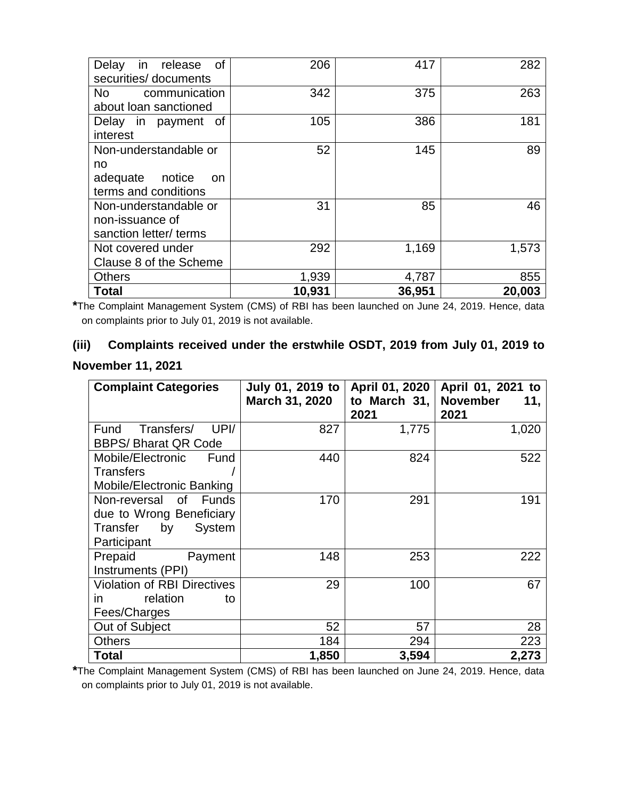| <b>of</b><br>release<br>Delay<br>in.<br>securities/ documents                 | 206    | 417    | 282    |
|-------------------------------------------------------------------------------|--------|--------|--------|
| No l<br>communication<br>about loan sanctioned                                | 342    | 375    | 263    |
| Delay in payment of<br>interest                                               | 105    | 386    | 181    |
| Non-understandable or<br>no<br>adequate notice<br>on.<br>terms and conditions | 52     | 145    | 89     |
| Non-understandable or<br>non-issuance of<br>sanction letter/ terms            | 31     | 85     | 46     |
| Not covered under<br>Clause 8 of the Scheme                                   | 292    | 1,169  | 1,573  |
| <b>Others</b>                                                                 | 1,939  | 4,787  | 855    |
| <b>Total</b>                                                                  | 10,931 | 36,951 | 20,003 |

**\***The Complaint Management System (CMS) of RBI has been launched on June 24, 2019. Hence, data on complaints prior to July 01, 2019 is not available.

# **(iii) Complaints received under the erstwhile OSDT, 2019 from July 01, 2019 to November 11, 2021**

| <b>Complaint Categories</b>                                                                  | July 01, 2019 to<br>March 31, 2020 | April 01, 2020<br>to March 31,<br>2021 | April 01, 2021 to<br><b>November</b><br>11,<br>2021 |
|----------------------------------------------------------------------------------------------|------------------------------------|----------------------------------------|-----------------------------------------------------|
| UPI/<br>Transfers/<br>Fund<br><b>BBPS/ Bharat QR Code</b>                                    | 827                                | 1,775                                  | 1,020                                               |
| Mobile/Electronic<br>Fund<br><b>Transfers</b><br>Mobile/Electronic Banking                   | 440                                | 824                                    | 522                                                 |
| Non-reversal of Funds<br>due to Wrong Beneficiary<br>by<br>System<br>Transfer<br>Participant | 170                                | 291                                    | 191                                                 |
| Prepaid<br>Payment<br>Instruments (PPI)                                                      | 148                                | 253                                    | 222                                                 |
| <b>Violation of RBI Directives</b><br>relation<br>in.<br>to<br>Fees/Charges                  | 29                                 | 100                                    | 67                                                  |
| Out of Subject                                                                               | 52                                 | 57                                     | 28                                                  |
| <b>Others</b>                                                                                | 184                                | 294                                    | 223                                                 |
| <b>Total</b>                                                                                 | 1,850                              | 3,594                                  | 2,273                                               |

**\***The Complaint Management System (CMS) of RBI has been launched on June 24, 2019. Hence, data on complaints prior to July 01, 2019 is not available.